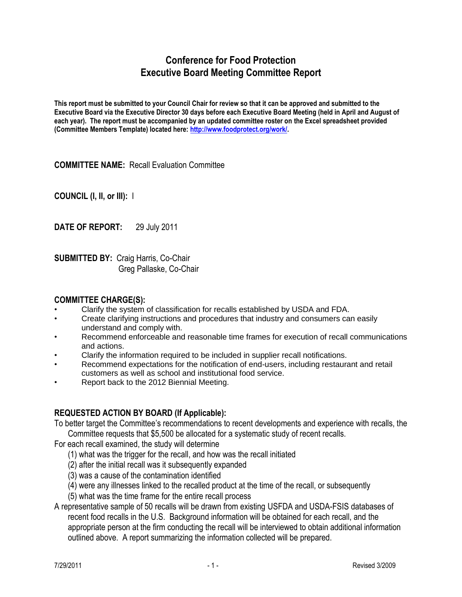## **Conference for Food Protection Executive Board Meeting Committee Report**

**This report must be submitted to your Council Chair for review so that it can be approved and submitted to the Executive Board via the Executive Director 30 days before each Executive Board Meeting (held in April and August of each year). The report must be accompanied by an updated committee roster on the Excel spreadsheet provided (Committee Members Template) located here: [http://www.foodprotect.org/work/.](http://www.foodprotect.org/work/)**

**COMMITTEE NAME:** Recall Evaluation Committee

**COUNCIL (I, II, or III):** I

**DATE OF REPORT:** 29 July 2011

**SUBMITTED BY:** Craig Harris, Co-Chair Greg Pallaske, Co-Chair

## **COMMITTEE CHARGE(S):**

- Clarify the system of classification for recalls established by USDA and FDA.
- Create clarifying instructions and procedures that industry and consumers can easily understand and comply with.
- Recommend enforceable and reasonable time frames for execution of recall communications and actions.
- Clarify the information required to be included in supplier recall notifications.
- Recommend expectations for the notification of end-users, including restaurant and retail customers as well as school and institutional food service.
- Report back to the 2012 Biennial Meeting.

## **REQUESTED ACTION BY BOARD (If Applicable):**

To better target the Committee's recommendations to recent developments and experience with recalls, the Committee requests that \$5,500 be allocated for a systematic study of recent recalls.

For each recall examined, the study will determine

- (1) what was the trigger for the recall, and how was the recall initiated
- (2) after the initial recall was it subsequently expanded
- (3) was a cause of the contamination identified
- (4) were any illnesses linked to the recalled product at the time of the recall, or subsequently
- (5) what was the time frame for the entire recall process
- A representative sample of 50 recalls will be drawn from existing USFDA and USDA-FSIS databases of recent food recalls in the U.S. Background information will be obtained for each recall, and the appropriate person at the firm conducting the recall will be interviewed to obtain additional information outlined above. A report summarizing the information collected will be prepared.